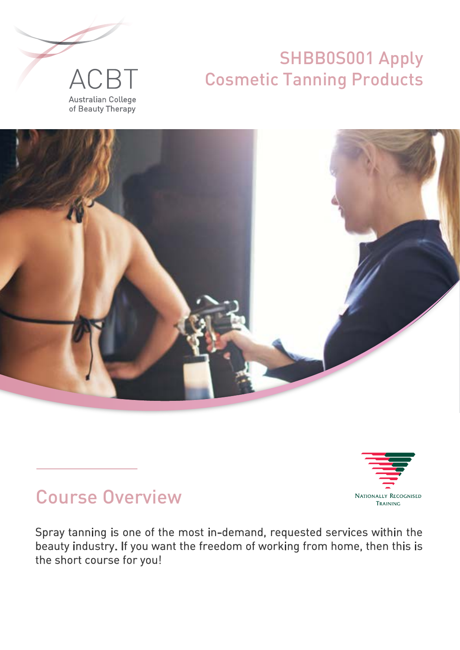







# Course Overview

Spray tanning is one of the most in-demand, requested services within the beauty industry. If you want the freedom of working from home, then this is the short course for you!